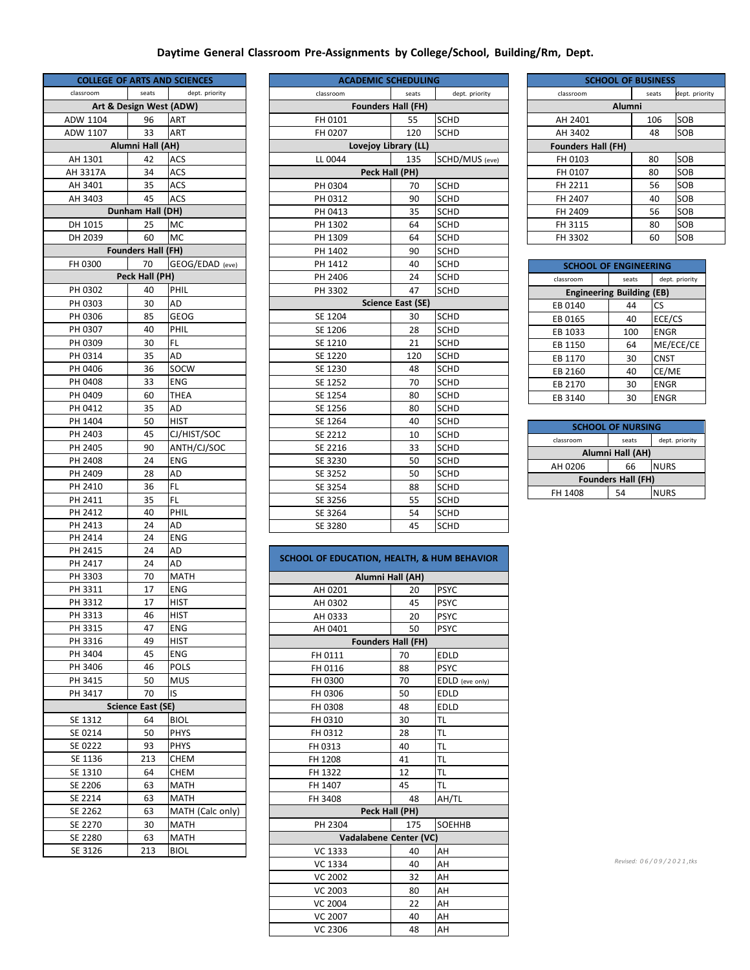## **Daytime General Classroom Pre‐Assignments by College/School, Building/Rm, Dept.**

| <b>COLLEGE OF ARTS AND SCIENCES</b> |                         |                          |
|-------------------------------------|-------------------------|--------------------------|
| classroom                           | seats                   | dept. priority           |
|                                     | Art & Design West (ADW) |                          |
| ADW 1104                            | 96                      | <b>ART</b>               |
| ADW 1107                            | 33                      | ART                      |
|                                     | Alumni Hall (AH)        |                          |
| AH 1301                             | 42                      | ACS                      |
| AH 3317A                            | 34                      | ACS                      |
| AH 3401                             | 35                      | ACS                      |
| AH 3403                             | 45                      | ACS                      |
|                                     | Dunham Hall (DH)        |                          |
| DH 1015                             | 25                      | <b>MC</b>                |
| DH 2039                             | 60                      | MC                       |
| <b>Example Founders Hall (FH)</b>   |                         |                          |
| FH 0300                             | 70                      | GEOG/EDAD (eve)          |
|                                     | Peck Hall (PH)          |                          |
| PH 0302                             | 40                      | PHIL                     |
| PH 0303                             | 30                      | AD                       |
| PH 0306                             | 85                      | GEOG                     |
| PH 0307                             | 40                      | PHIL                     |
| PH 0309                             | 30                      | FL.                      |
| PH 0314                             | 35                      | AD                       |
| PH 0406                             | 36                      | SOCW                     |
| PH 0408                             | 33                      | ENG                      |
| PH 0409                             | 60                      | <b>THEA</b>              |
| PH 0412                             | 35                      | AD                       |
| PH 1404                             | 50                      | <b>HIST</b>              |
| PH 2403                             | 45                      | CJ/HIST/SOC              |
| PH 2405                             | 90                      | ANTH/CJ/SOC              |
| PH 2408                             | 24                      | <b>ENG</b>               |
| PH 2409                             | 28                      | AD                       |
| PH 2410                             | 36                      | FL.                      |
| PH 2411                             | 35                      | FL                       |
| PH 2412                             | 40                      | PHIL                     |
| PH 2413                             | 24                      | AD                       |
| PH 2414                             | 24                      | ENG                      |
| PH 2415                             | 24                      | AD                       |
| PH 2417                             | 24                      | AD                       |
| PH 3303                             | 70                      | <b>MATH</b>              |
| PH 3311                             | 17                      | <b>ENG</b>               |
| PH 3312                             | 17                      | <b>HIST</b>              |
| PH 3313                             | 46                      | <b>HIST</b>              |
| PH 3315                             | 47                      | ENG                      |
| PH 3316                             | 49                      | HIST                     |
| PH 3404                             | 45<br>46                | <b>ENG</b>               |
| PH 3406                             |                         | <b>POLS</b>              |
| PH 3415<br>PH 3417                  | 50<br>70                | MUS                      |
|                                     | Science East (SE)       | IS                       |
| SE 1312                             | 64                      | <b>BIOL</b>              |
| SE 0214                             | 50                      | <b>PHYS</b>              |
| SE 0222                             | 93                      | <b>PHYS</b>              |
|                                     | 213                     |                          |
| SE 1136<br>SE 1310                  | 64                      | CHEM<br><b>CHEM</b>      |
| SE 2206                             |                         |                          |
| SE 2214                             | 63                      | <b>MATH</b>              |
| SE 2262                             | 63                      | <b>MATH</b>              |
| SE 2270                             | 63<br>30                | MATH (Calc only)<br>MATH |
| SE 2280                             | 63                      | MATH                     |
| SE 3126                             | 213                     | BIOL                     |
|                                     |                         |                          |

| <b>ACADEMIC SCHEDULING</b> |                          |                |  |
|----------------------------|--------------------------|----------------|--|
| classroom                  | seats                    | dept. priority |  |
| <b>Founders Hall (FH)</b>  |                          |                |  |
| FH 0101                    | 55                       | <b>SCHD</b>    |  |
| FH 0207                    | 120                      | <b>SCHD</b>    |  |
| Lovejoy Library (LL)       |                          |                |  |
| LL 0044                    | 135                      | SCHD/MUS (eve) |  |
| Peck Hall (PH)             |                          |                |  |
| PH 0304                    | 70                       | <b>SCHD</b>    |  |
| PH 0312                    | 90                       | <b>SCHD</b>    |  |
| PH 0413                    | 35                       | <b>SCHD</b>    |  |
| PH 1302                    | 64                       | <b>SCHD</b>    |  |
| PH 1309                    | 64                       | <b>SCHD</b>    |  |
| PH 1402                    | 90                       | <b>SCHD</b>    |  |
| PH 1412                    | 40                       | <b>SCHD</b>    |  |
| PH 2406                    | 24                       | <b>SCHD</b>    |  |
| PH 3302                    | 47                       | <b>SCHD</b>    |  |
|                            | <b>Science East (SE)</b> |                |  |
| SE 1204                    | 30                       | <b>SCHD</b>    |  |
| SE 1206                    | 28                       | <b>SCHD</b>    |  |
| SE 1210                    | 21                       | SCHD           |  |
| SE 1220                    | 120                      | <b>SCHD</b>    |  |
| SE 1230                    | 48                       | <b>SCHD</b>    |  |
| SE 1252                    | 70                       | <b>SCHD</b>    |  |
| SE 1254                    | 80                       | <b>SCHD</b>    |  |
| SE 1256                    | 80                       | <b>SCHD</b>    |  |
| SE 1264                    | 40                       | <b>SCHD</b>    |  |
| SE 2212                    | 10                       | <b>SCHD</b>    |  |
| SE 2216                    | 33                       | <b>SCHD</b>    |  |
| SE 3230                    | 50                       | <b>SCHD</b>    |  |
| SE 3252                    | 50                       | <b>SCHD</b>    |  |
| SE 3254                    | 88                       | <b>SCHD</b>    |  |
| SE 3256                    | 55                       | <b>SCHD</b>    |  |
| SE 3264                    | 54                       | <b>SCHD</b>    |  |
| SE 3280                    | 45                       | <b>SCHD</b>    |  |

| SCHOOL OF EDUCATION, HEALTH, & HUM BEHAVIOR |                  |                 |  |  |  |  |
|---------------------------------------------|------------------|-----------------|--|--|--|--|
|                                             | Alumni Hall (AH) |                 |  |  |  |  |
| AH 0201                                     | 20               | <b>PSYC</b>     |  |  |  |  |
| AH 0302                                     | 45               | <b>PSYC</b>     |  |  |  |  |
| AH 0333                                     | 20               | <b>PSYC</b>     |  |  |  |  |
| AH 0401                                     | 50               | <b>PSYC</b>     |  |  |  |  |
| <b>Founders Hall (FH)</b>                   |                  |                 |  |  |  |  |
| FH 0111                                     | 70               | <b>EDLD</b>     |  |  |  |  |
| FH 0116                                     | 88               | <b>PSYC</b>     |  |  |  |  |
| FH 0300                                     | 70               | EDLD (eve only) |  |  |  |  |
| FH 0306                                     | 50               | <b>EDLD</b>     |  |  |  |  |
| FH 0308                                     | 48               | <b>EDLD</b>     |  |  |  |  |
| FH 0310                                     | 30               | TL              |  |  |  |  |
| FH 0312                                     | 28               | <b>TL</b>       |  |  |  |  |
| FH 0313                                     | 40               | <b>TL</b>       |  |  |  |  |
| FH 1208                                     | 41               | TL              |  |  |  |  |
| FH 1322                                     | 12               | TL              |  |  |  |  |
| FH 1407                                     | 45               | TL              |  |  |  |  |
| FH 3408                                     | 48               | AH/TL           |  |  |  |  |
| Peck Hall (PH)                              |                  |                 |  |  |  |  |
| PH 2304                                     | 175              | SOEHHB          |  |  |  |  |
| Vadalabene Center (VC)                      |                  |                 |  |  |  |  |
| VC 1333                                     | 40               | AH              |  |  |  |  |
| VC 1334                                     | 40               | AH              |  |  |  |  |
| <b>VC 2002</b>                              | 32               | AH              |  |  |  |  |
| VC 2003                                     | 80               | AH              |  |  |  |  |
| <b>VC 2004</b>                              | 22               | AH              |  |  |  |  |
| VC 2007                                     | 40               | AH              |  |  |  |  |
| VC 2306                                     | 48               | AH              |  |  |  |  |

| <b>SCHOOL OF BUSINESS</b> |        |                |  |  |
|---------------------------|--------|----------------|--|--|
| classroom                 | seats  | dept. priority |  |  |
|                           | Alumni |                |  |  |
| AH 2401                   | 106    | SOB            |  |  |
| AH 3402                   | 48     | SOB            |  |  |
| <b>Founders Hall (FH)</b> |        |                |  |  |
| FH 0103                   | 80     | SOB            |  |  |
| FH 0107                   | 80     | SOB            |  |  |
| FH 2211                   | 56     | SOB            |  |  |
| FH 2407                   | 40     | SOB            |  |  |
| FH 2409                   | 56     | SOB            |  |  |
| FH 3115                   | 80     | SOB            |  |  |
| FH 3302                   | 60     | SOB            |  |  |
|                           |        |                |  |  |

| <b>SCHOOL OF ENGINEERING</b>     |       |                |  |
|----------------------------------|-------|----------------|--|
| classroom                        | seats | dept. priority |  |
| <b>Engineering Building (EB)</b> |       |                |  |
| EB 0140                          | 44    | CS             |  |
| EB 0165                          | 40    | ECE/CS         |  |
| EB 1033                          | 100   | <b>ENGR</b>    |  |
| EB 1150                          | 64    | ME/ECE/CE      |  |
| EB 1170                          | 30    | <b>CNST</b>    |  |
| EB 2160                          | 40    | CE/ME          |  |
| EB 2170                          | 30    | <b>ENGR</b>    |  |
| EB 3140                          | 30    | <b>ENGR</b>    |  |

| <b>SCHOOL OF NURSING</b>  |       |                |  |
|---------------------------|-------|----------------|--|
| classroom                 | seats | dept. priority |  |
| Alumni Hall (AH)          |       |                |  |
| AH 0206                   | 66    | <b>NURS</b>    |  |
| <b>Founders Hall (FH)</b> |       |                |  |
| FH 1408                   | 54    | <b>NURS</b>    |  |

٦

*Revised: 0 6 / 0 9 / 2 0 2 1 ,tks*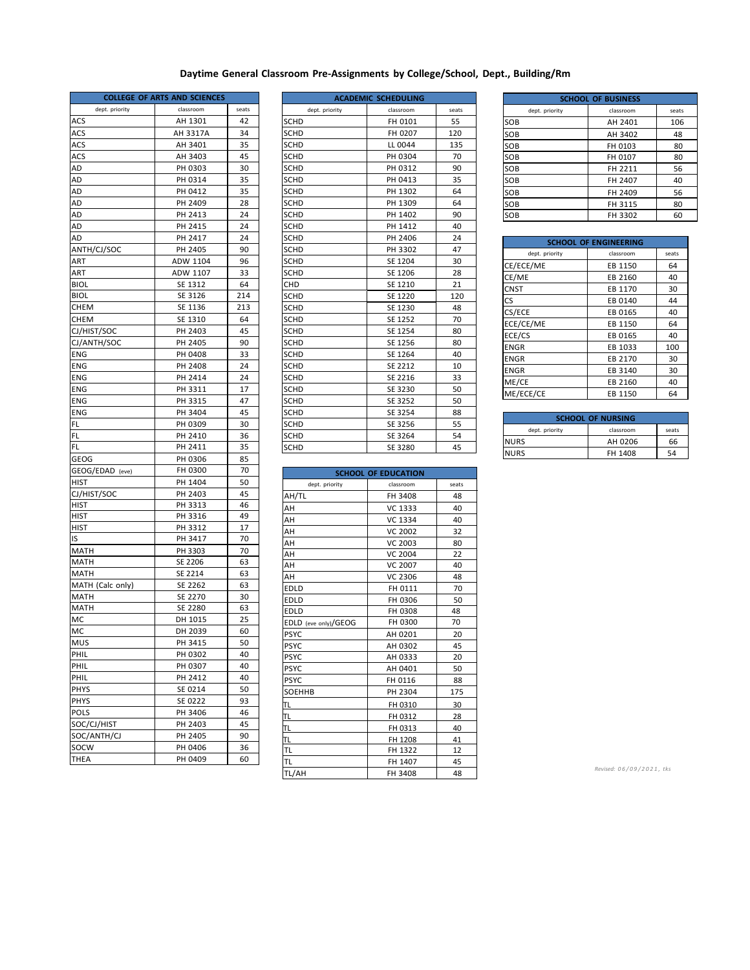## **Daytime General Classroom Pre‐Assignments by College/School, Dept., Building/Rm**

| <b>COLLEGE OF ARTS AND SCIENCES</b> |           |       |
|-------------------------------------|-----------|-------|
| dept. priority                      | classroom | seats |
| ACS                                 | AH 1301   | 42    |
| ACS                                 | AH 3317A  | 34    |
| ACS                                 | AH 3401   | 35    |
| ACS                                 | AH 3403   | 45    |
| AD                                  | PH 0303   | 30    |
| AD                                  | PH 0314   | 35    |
| AD                                  | PH 0412   | 35    |
| AD                                  | PH 2409   | 28    |
| AD                                  | PH 2413   | 24    |
| AD                                  | PH 2415   | 24    |
| AD                                  | PH 2417   | 24    |
| ANTH/CJ/SOC                         | PH 2405   | 90    |
| ART                                 | ADW 1104  | 96    |
| ART                                 | ADW 1107  | 33    |
| BIOL                                | SE 1312   | 64    |
|                                     | SE 3126   | 214   |
| BIOL                                |           |       |
| CHEM                                | SE 1136   | 213   |
| CHEM                                | SE 1310   | 64    |
| CJ/HIST/SOC                         | PH 2403   | 45    |
| CJ/ANTH/SOC                         | PH 2405   | 90    |
| ENG                                 | PH 0408   | 33    |
| ENG                                 | PH 2408   | 24    |
| ENG                                 | PH 2414   | 24    |
| ENG                                 | PH 3311   | 17    |
| ENG                                 | PH 3315   | 47    |
| ENG                                 | PH 3404   | 45    |
| FL                                  | PH 0309   | 30    |
| FL                                  | PH 2410   | 36    |
| FL                                  | PH 2411   | 35    |
| GEOG                                | PH 0306   | 85    |
| GEOG/EDAD (eve)                     | FH 0300   | 70    |
| HIST                                | PH 1404   | 50    |
| CJ/HIST/SOC                         | PH 2403   | 45    |
| HIST                                | PH 3313   | 46    |
| hist                                | PH 3316   | 49    |
| HIST                                | PH 3312   | 17    |
| ıs                                  | PH 3417   | 70    |
| MATH                                | PH 3303   | 70    |
| MATH                                | SE 2206   | 63    |
| MATH                                | SE 2214   | 63    |
| MATH (Calc only)                    | SE 2262   | 63    |
| MATH                                | SE 2270   | 30    |
| MATH                                | SE 2280   | 63    |
| МC                                  | DH 1015   | 25    |
| МC                                  | DH 2039   | 60    |
| <b>MUS</b>                          | PH 3415   | 50    |
| PHIL                                | PH 0302   | 40    |
| PHIL                                | PH 0307   | 40    |
| PHIL                                | PH 2412   | 40    |
| <b>PHYS</b>                         | SE 0214   | 50    |
| PHYS                                | SE 0222   | 93    |
| POLS                                | PH 3406   | 46    |
| SOC/CJ/HIST                         | PH 2403   | 45    |
| SOC/ANTH/CJ                         | PH 2405   | 90    |
| SOCW                                | PH 0406   | 36    |
| THEA                                | PH 0409   | 60    |
|                                     |           |       |

|                | <b>ACADEMIC SCHEDULING</b> |       |
|----------------|----------------------------|-------|
| dept. priority | classroom                  | seats |
| SCHD           | FH 0101                    | 55    |
| <b>SCHD</b>    | FH 0207                    | 120   |
| SCHD           | LL 0044                    | 135   |
| <b>SCHD</b>    | PH 0304                    | 70    |
| <b>SCHD</b>    | PH 0312                    | 90    |
| SCHD           | PH 0413                    | 35    |
| <b>SCHD</b>    | PH 1302                    | 64    |
| SCHD           | PH 1309                    | 64    |
| <b>SCHD</b>    | PH 1402                    | 90    |
| <b>SCHD</b>    | PH 1412                    | 40    |
| <b>SCHD</b>    | PH 2406                    | 24    |
| <b>SCHD</b>    | PH 3302                    | 47    |
| SCHD           | SE 1204                    | 30    |
| SCHD           | SE 1206                    | 28    |
| CHD            | SE 1210                    | 21    |
| <b>SCHD</b>    | SE 1220                    | 120   |
| <b>SCHD</b>    | SE 1230                    | 48    |
| SCHD           | SE 1252                    | 70    |
| <b>SCHD</b>    | SE 1254                    | 80    |
| <b>SCHD</b>    | SE 1256                    | 80    |
| <b>SCHD</b>    | SE 1264                    | 40    |
| <b>SCHD</b>    | SE 2212                    | 10    |
| <b>SCHD</b>    | SE 2216                    | 33    |
| <b>SCHD</b>    | SE 3230                    | 50    |
| SCHD           | SE 3252                    | 50    |
| SCHD           | SE 3254                    | 88    |
| <b>SCHD</b>    | SE 3256                    | 55    |
| <b>SCHD</b>    | SE 3264                    | 54    |
| <b>SCHD</b>    | SE 3280                    | 45    |

| <b>SCHOOL OF EDUCATION</b> |                |       |
|----------------------------|----------------|-------|
| dept. priority             | classroom      | seats |
| AH/TL                      | FH 3408        | 48    |
| AH                         | VC 1333        | 40    |
| AH                         | VC 1334        | 40    |
| AH                         | <b>VC 2002</b> | 32    |
| AH                         | <b>VC 2003</b> | 80    |
| AH                         | <b>VC 2004</b> | 22    |
| AH                         | <b>VC 2007</b> | 40    |
| AH                         | VC 2306        | 48    |
| <b>EDLD</b>                | FH 0111        | 70    |
| <b>EDLD</b>                | FH 0306        | 50    |
| EDLD                       | FH 0308        | 48    |
| EDLD (eve only)/GEOG       | FH 0300        | 70    |
| <b>PSYC</b>                | AH 0201        | 20    |
| <b>PSYC</b>                | AH 0302        | 45    |
| <b>PSYC</b>                | AH 0333        | 20    |
| <b>PSYC</b>                | AH 0401        | 50    |
| <b>PSYC</b>                | FH 0116        | 88    |
| <b>SOEHHB</b>              | PH 2304        | 175   |
| TL                         | FH 0310        | 30    |
| TL                         | FH 0312        | 28    |
| TL                         | FH 0313        | 40    |
| ΤL                         | FH 1208        | 41    |
| TL.                        | FH 1322        | 12    |
| TL                         | FH 1407        | 45    |
| TL/AH                      | FH 3408        | 48    |

| <b>SCHOOL OF BUSINESS</b> |           |       |  |
|---------------------------|-----------|-------|--|
| dept. priority            | classroom | seats |  |
| SOB                       | AH 2401   | 106   |  |
| SOB                       | AH 3402   | 48    |  |
| SOB                       | FH 0103   | 80    |  |
| SOB                       | FH 0107   | 80    |  |
| SOB                       | FH 2211   | 56    |  |
| SOB                       | FH 2407   | 40    |  |
| SOB                       | FH 2409   | 56    |  |
| SOB                       | FH 3115   | 80    |  |
| SOB                       | FH 3302   | 60    |  |

| <b>SCHOOL OF ENGINEERING</b> |           |       |  |
|------------------------------|-----------|-------|--|
| dept. priority               | classroom | seats |  |
| CE/ECE/ME                    | EB 1150   | 64    |  |
| CE/ME                        | EB 2160   | 40    |  |
| CNST                         | EB 1170   | 30    |  |
| <b>CS</b>                    | EB 0140   | 44    |  |
| CS/ECE                       | EB 0165   | 40    |  |
| ECE/CE/ME                    | EB 1150   | 64    |  |
| ECE/CS                       | EB 0165   | 40    |  |
| <b>ENGR</b>                  | EB 1033   | 100   |  |
| <b>ENGR</b>                  | EB 2170   | 30    |  |
| <b>ENGR</b>                  | EB 3140   | 30    |  |
| ME/CE                        | EB 2160   | 40    |  |
| ME/ECE/CE                    | EB 1150   | 64    |  |

| <b>SCHOOL OF NURSING</b> |       |  |
|--------------------------|-------|--|
| classroom                | seats |  |
| AH 0206                  | 66    |  |
| FH 1408                  | 54    |  |
|                          |       |  |

*Revised: 0 6 / 0 9 / 2 0 2 1 , tks*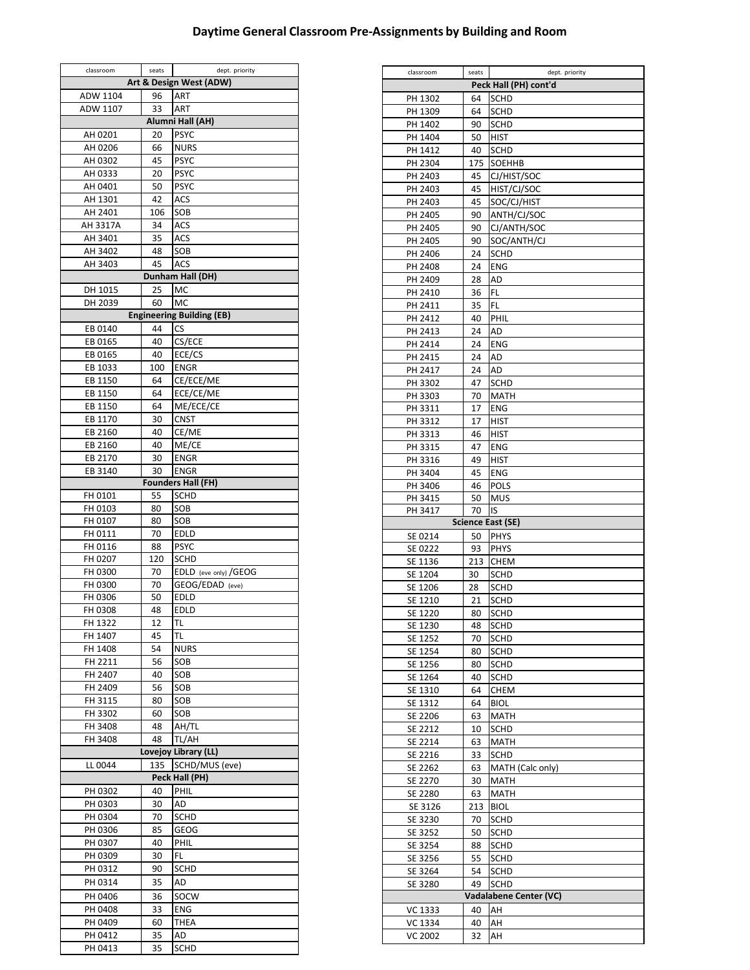## **Daytime General Classroom Pre‐Assignments by Building and Room**

 $\overline{a}$ 

| classroom               | seats    | dept. priority                   |  |  |  |  |
|-------------------------|----------|----------------------------------|--|--|--|--|
| Art & Design West (ADW) |          |                                  |  |  |  |  |
| 96<br>ART<br>ADW 1104   |          |                                  |  |  |  |  |
| ADW 1107                | 33       | ART                              |  |  |  |  |
| Alumni Hall (AH)        |          |                                  |  |  |  |  |
| AH 0201                 | 20       | <b>PSYC</b>                      |  |  |  |  |
| AH 0206                 | 66       | <b>NURS</b>                      |  |  |  |  |
| AH 0302                 | 45       | <b>PSYC</b>                      |  |  |  |  |
| AH 0333                 | 20       | <b>PSYC</b>                      |  |  |  |  |
| AH 0401<br>AH 1301      | 50<br>42 | <b>PSYC</b><br>ACS               |  |  |  |  |
| AH 2401                 | 106      | SOB                              |  |  |  |  |
| AH 3317A                | 34       | ACS                              |  |  |  |  |
| AH 3401                 | 35       | ACS                              |  |  |  |  |
| AH 3402                 | 48       | SOB                              |  |  |  |  |
| AH 3403                 | 45       | ACS                              |  |  |  |  |
|                         |          | Dunham Hall (DH)                 |  |  |  |  |
| DH 1015                 | 25       | MC                               |  |  |  |  |
| DH 2039                 | 60       | MC                               |  |  |  |  |
|                         |          | <b>Engineering Building (EB)</b> |  |  |  |  |
| EB 0140                 | 44       | <b>CS</b>                        |  |  |  |  |
| EB 0165                 | 40       | CS/ECE                           |  |  |  |  |
| EB 0165                 | 40       | ECE/CS                           |  |  |  |  |
| EB 1033                 | 100      | <b>ENGR</b>                      |  |  |  |  |
| EB 1150<br>EB 1150      | 64<br>64 | CE/ECE/ME<br>ECE/CE/ME           |  |  |  |  |
| EB 1150                 | 64       | ME/ECE/CE                        |  |  |  |  |
| EB 1170                 | 30       | <b>CNST</b>                      |  |  |  |  |
| EB 2160                 | 40       | CE/ME                            |  |  |  |  |
| EB 2160                 | 40       | ME/CE                            |  |  |  |  |
| EB 2170                 | 30       | <b>ENGR</b>                      |  |  |  |  |
| EB 3140                 | 30       | <b>ENGR</b>                      |  |  |  |  |
|                         |          | <b>Founders Hall (FH)</b>        |  |  |  |  |
| FH 0101                 | 55       | SCHD                             |  |  |  |  |
| FH 0103                 | 80       | SOB                              |  |  |  |  |
| FH 0107                 | 80       | SOB                              |  |  |  |  |
| FH 0111<br>FH 0116      | 70<br>88 | <b>EDLD</b><br><b>PSYC</b>       |  |  |  |  |
| FH 0207                 | 120      | <b>SCHD</b>                      |  |  |  |  |
| FH 0300                 | 70       | EDLD (eve only) / GEOG           |  |  |  |  |
| FH 0300                 | 70       | GEOG/EDAD (eve)                  |  |  |  |  |
| FH 0306                 | 50       | EDLD                             |  |  |  |  |
| FH 0308                 | 48       | EDLD                             |  |  |  |  |
| FH 1322                 | 12       | TL                               |  |  |  |  |
| FH 1407                 | 45       | TL                               |  |  |  |  |
| FH 1408                 | 54       | <b>NURS</b>                      |  |  |  |  |
| FH 2211                 | 56       | SOB                              |  |  |  |  |
| FH 2407                 | 40       | SOB                              |  |  |  |  |
| FH 2409<br>FH 3115      | 56<br>80 | SOB<br>SOB                       |  |  |  |  |
| FH 3302                 | 60       | SOB                              |  |  |  |  |
| FH 3408                 | 48       | AH/TL                            |  |  |  |  |
| FH 3408                 | 48       | TL/AH                            |  |  |  |  |
|                         |          | Lovejoy Library (LL)             |  |  |  |  |
| LL 0044                 | 135      | SCHD/MUS (eve)                   |  |  |  |  |
| Peck Hall (PH)          |          |                                  |  |  |  |  |
| PH 0302                 | 40       | PHIL                             |  |  |  |  |
| PH 0303                 | 30       | AD                               |  |  |  |  |
| PH 0304                 | 70       | SCHD                             |  |  |  |  |
| PH 0306                 | 85<br>40 | GEOG                             |  |  |  |  |
| PH 0307<br>PH 0309      | 30       | PHIL<br>FL.                      |  |  |  |  |
| PH 0312                 | 90       | SCHD                             |  |  |  |  |
| PH 0314                 | 35       | AD                               |  |  |  |  |
| PH 0406                 | 36       | SOCW                             |  |  |  |  |
| PH 0408                 | 33       | <b>ENG</b>                       |  |  |  |  |
| PH 0409                 | 60       | <b>THEA</b>                      |  |  |  |  |
| PH 0412                 | 35       | AD                               |  |  |  |  |
| PH 0413                 | 35       | SCHD                             |  |  |  |  |

| classroom          | seats    | dept. priority         |
|--------------------|----------|------------------------|
|                    |          | Peck Hall (PH) cont'd  |
| PH 1302            | 64       | <b>SCHD</b>            |
| PH 1309            | 64       | <b>SCHD</b>            |
|                    |          |                        |
| PH 1402            | 90       | <b>SCHD</b>            |
| PH 1404            | 50       | <b>HIST</b>            |
| PH 1412            | 40       | <b>SCHD</b>            |
| PH 2304            | 175      | SOEHHB                 |
| PH 2403            | 45       | CJ/HIST/SOC            |
| PH 2403            | 45       | HIST/CJ/SOC            |
|                    |          |                        |
| PH 2403            | 45       | SOC/CJ/HIST            |
| PH 2405            | 90       | ANTH/CJ/SOC            |
| PH 2405            | 90       | CJ/ANTH/SOC            |
| PH 2405            | 90       | SOC/ANTH/CJ            |
| PH 2406            | 24       | SCHD                   |
|                    |          |                        |
| PH 2408            | 24       | <b>ENG</b>             |
| PH 2409            | 28       | AD                     |
| PH 2410            | 36       | FL                     |
| PH 2411            | 35       | FL                     |
| PH 2412            | 40       | PHIL                   |
|                    |          |                        |
| PH 2413            | 24       | AD                     |
| PH 2414            | 24       | <b>ENG</b>             |
| PH 2415            | 24       | AD                     |
| PH 2417            | 24       | AD                     |
| PH 3302            | 47       | <b>SCHD</b>            |
|                    |          |                        |
| PH 3303            | 70       | <b>MATH</b>            |
| PH 3311            | 17       | <b>ENG</b>             |
| PH 3312            | 17       | <b>HIST</b>            |
| PH 3313            | 46       | <b>HIST</b>            |
| PH 3315            | 47       | <b>ENG</b>             |
|                    |          |                        |
| PH 3316            | 49       | <b>HIST</b>            |
| PH 3404            | 45       | <b>ENG</b>             |
| PH 3406            | 46       | POLS                   |
| PH 3415            | 50       | <b>MUS</b>             |
|                    |          |                        |
|                    |          |                        |
| PH 3417            | 70       | IS                     |
|                    |          | Science East (SE)      |
| SE 0214            | 50       | <b>PHYS</b>            |
| SE 0222            | 93       | <b>PHYS</b>            |
| SE 1136            | 213      | <b>CHEM</b>            |
| SE 1204            | 30       | SCHD                   |
|                    |          |                        |
| SE 1206            | 28       | <b>SCHD</b>            |
| SE 1210            | 21       | SCHD                   |
| SE 1220            | 80       | <b>SCHD</b>            |
| SE 1230            | 48       | <b>SCHD</b>            |
| SE 1252            | 70       | <b>SCHD</b>            |
|                    |          |                        |
| SE 1254            | 80       | SCHD                   |
| SE 1256            | 80       | <b>SCHD</b>            |
| SE 1264            | 40       | SCHD                   |
| SE 1310            | 64       | <b>CHEM</b>            |
| SE 1312            | 64       | <b>BIOL</b>            |
| SE 2206            | 63       | <b>MATH</b>            |
|                    |          |                        |
| SE 2212            | 10       | SCHD                   |
| SE 2214            | 63       | <b>MATH</b>            |
| SE 2216            | 33       | <b>SCHD</b>            |
| SE 2262            | 63       | MATH (Calc only)       |
|                    | 30       |                        |
| SE 2270            |          | MATH                   |
| SE 2280            | 63       | MATH                   |
| SE 3126            | 213      | <b>BIOL</b>            |
| SE 3230            | 70       | SCHD                   |
| SE 3252            | 50       | SCHD                   |
|                    | 88       |                        |
| SE 3254            |          | <b>SCHD</b>            |
| SE 3256            | 55       | <b>SCHD</b>            |
| SE 3264            | 54       | SCHD                   |
| SE 3280            | 49       | <b>SCHD</b>            |
|                    |          | Vadalabene Center (VC) |
|                    | 40       |                        |
| VC 1333            |          | AH                     |
| VC 1334<br>VC 2002 | 40<br>32 | AΗ<br>AH               |